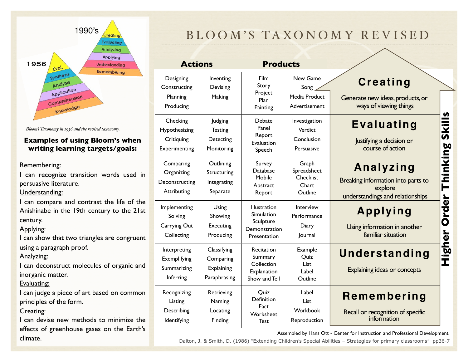

*Bloom's Taxonomy in 1956 and the revised taxonomy.*

#### **Examples of using Bloom's when writing learning targets/goals:**

#### Remembering:

I can recognize transition words used in persuasive literature.

#### Understanding:

I can compare and contrast the life of the Anishinabe in the 19th century to the 21st century.

#### Applying:

I can show that two triangles are congruent using a paragraph proof.

#### Analyzing:

I can deconstruct molecules of organic and inorganic matter.

### Evaluating:

I can judge a piece of art based on common principles of the form.

### Creating:

I can devise new methods to minimize the effects of greenhouse gases on the Earth's

## BLOOM'S TAXONOMY REVISED

| <b>Actions</b>                                           |                                                        | <b>Products</b>                                                          |                                                       |                                                                                                            |
|----------------------------------------------------------|--------------------------------------------------------|--------------------------------------------------------------------------|-------------------------------------------------------|------------------------------------------------------------------------------------------------------------|
| Designing<br>Constructing<br>Planning<br>Producing       | Inventing<br>Devising<br>Making                        | <b>Film</b><br>Story<br>Project<br>Plan<br>Painting                      | New Game<br>Song<br>Media Product<br>Advertisement    | Creating<br>Generate new ideas, products, or<br>ways of viewing things                                     |
| Checking<br>Hypothesizing<br>Critiquing<br>Experimenting | Judging<br><b>Testing</b><br>Detecting<br>Monitoring   | Debate<br>Panel<br>Report<br>Evaluation<br>Speech                        | Investigation<br>Verdict<br>Conclusion<br>Persuasive  | Skills<br>Evaluating<br>Justifying a decision or<br>course of action                                       |
| Comparing<br>Organizing<br>Deconstructing<br>Attributing | Outlining<br>Structuring<br>Integrating<br>Separate    | Survey<br>Database<br>Mobile<br>Abstract<br>Report                       | Graph<br>Spreadsheet<br>Checklist<br>Chart<br>Outline | Thinking<br>Analyzing<br>Breaking information into parts to<br>explore<br>understandings and relationships |
| Implementing<br>Solving<br>Carrying Out<br>Collecting    | Using<br>Showing<br>Executing<br>Producing             | Illustration<br>Simulation<br>Sculpture<br>Demonstration<br>Presentation | Interview<br>Performance<br>Diary<br>Journal          | <b>Order</b><br>Applying<br>Using information in another<br>familiar situation                             |
| Interpreting<br>Exemplifying<br>Summarizing<br>Inferring | Classifying<br>Comparing<br>Explaining<br>Paraphrasing | Recitation<br>Summary<br>Collection<br>Explanation<br>Show and Tell      | Example<br>Quiz<br>List.<br>Label<br>Outline          | Higher<br>Understanding<br>Explaining ideas or concepts                                                    |
| Recognizing<br>Listing<br>Describing<br>Identifying      | Retrieving<br>Naming<br>Locating<br>Finding            | Quiz<br>Definition<br>Fact<br>Worksheet<br><b>Test</b>                   | Label<br>List<br>Workbook<br>Reproduction             | Remembering<br>Recall or recognition of specific<br>information                                            |

Assembled by Hans Ott - Center for Instruction and Professional Development<br>Climate. Dalton, J. & Smith, D. (1986) "Extending Children's Special Abilities – Strategies for primary classrooms" pp36-7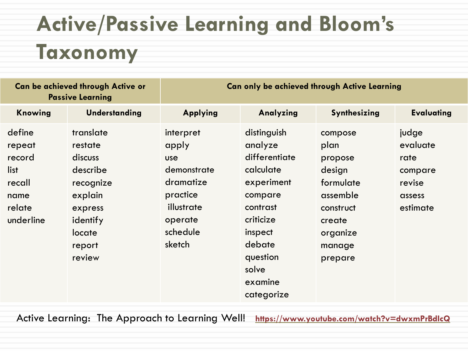# **Active/Passive Learning and Bloom's Taxonomy**

| <b>Can be achieved through Active or</b><br><b>Passive Learning</b>         |                                                                                                                          | <b>Can only be achieved through Active Learning</b>                                                                     |                                                                                                                                                                           |                                                                                                                       |                                                                      |  |  |
|-----------------------------------------------------------------------------|--------------------------------------------------------------------------------------------------------------------------|-------------------------------------------------------------------------------------------------------------------------|---------------------------------------------------------------------------------------------------------------------------------------------------------------------------|-----------------------------------------------------------------------------------------------------------------------|----------------------------------------------------------------------|--|--|
| Knowing                                                                     | <b>Understanding</b>                                                                                                     | <b>Applying</b>                                                                                                         | Analyzing                                                                                                                                                                 | Synthesizing                                                                                                          | <b>Evaluating</b>                                                    |  |  |
| define<br>repeat<br>record<br>list<br>recall<br>name<br>relate<br>underline | translate<br>restate<br>discuss<br>describe<br>recognize<br>explain<br>express<br>identify<br>locate<br>report<br>review | interpret<br>apply<br><b>use</b><br>demonstrate<br>dramatize<br>practice<br>illustrate<br>operate<br>schedule<br>sketch | distinguish<br>analyze<br>differentiate<br>calculate<br>experiment<br>compare<br>contrast<br>criticize<br>inspect<br>debate<br>question<br>solve<br>examine<br>categorize | compose<br>plan<br>propose<br>design<br>formulate<br>assemble<br>construct<br>create<br>organize<br>manage<br>prepare | judge<br>evaluate<br>rate<br>compare<br>revise<br>assess<br>estimate |  |  |

Active Learning: The Approach to Learning Well! **<https://www.youtube.com/watch?v=dwxmPrBdIcQ>**